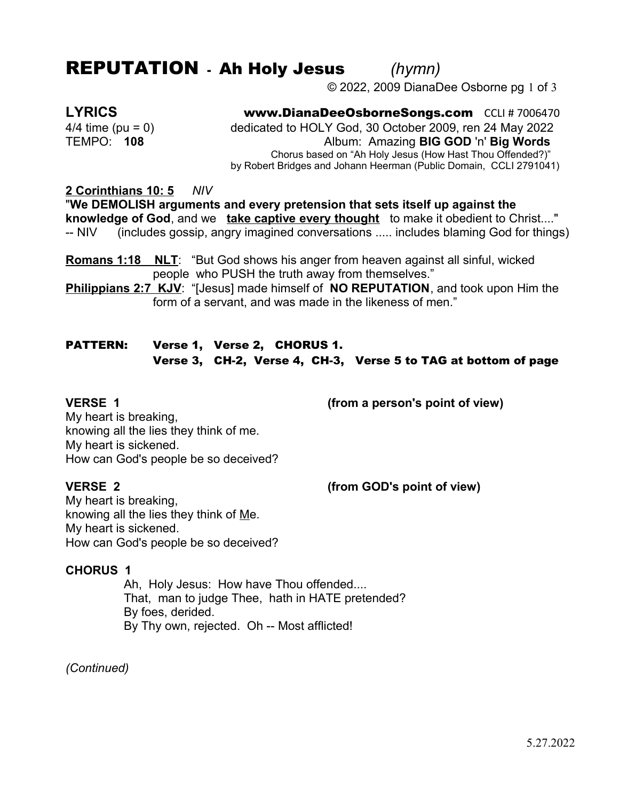## REPUTATION - Ah Holy Jesus *(hymn)*

© 2022, 2009 DianaDee Osborne pg 1 of 3

**LYRICS** www.DianaDeeOsborneSongs.com CCLI # 7006470 4/4 time (pu = 0) dedicated to HOLY God, 30 October 2009, ren 24 May 2022 TEMPO: **108** Album: Amazing **BIG GOD** 'n' **Big Words** Chorus based on "Ah Holy Jesus (How Hast Thou Offended?)" by Robert Bridges and Johann Heerman (Public Domain, CCLI 2791041)

**2 Corinthians 10: 5** *NIV*

"**We DEMOLISH arguments and every pretension that sets itself up against the knowledge of God**, and we **take captive every thought** to make it obedient to Christ...." -- NIV (includes gossip, angry imagined conversations ..... includes blaming God for things)

**Romans 1:18 NLT**: "But God shows his anger from heaven against all sinful, wicked people who PUSH the truth away from themselves."

**Philippians 2:7 KJV**: "[Jesus] made himself of **NO REPUTATION**, and took upon Him the form of a servant, and was made in the likeness of men."

## PATTERN: Verse 1, Verse 2, CHORUS 1. Verse 3, CH-2, Verse 4, CH-3, Verse 5 to TAG at bottom of page

**VERSE 1 (from a person's point of view)**

My heart is breaking, knowing all the lies they think of me. My heart is sickened. How can God's people be so deceived?

**VERSE 2 (from GOD's point of view)**

My heart is breaking, knowing all the lies they think of Me. My heart is sickened. How can God's people be so deceived?

#### **CHORUS 1**

Ah, Holy Jesus: How have Thou offended.... That, man to judge Thee, hath in HATE pretended? By foes, derided. By Thy own, rejected. Oh -- Most afflicted!

*(Continued)*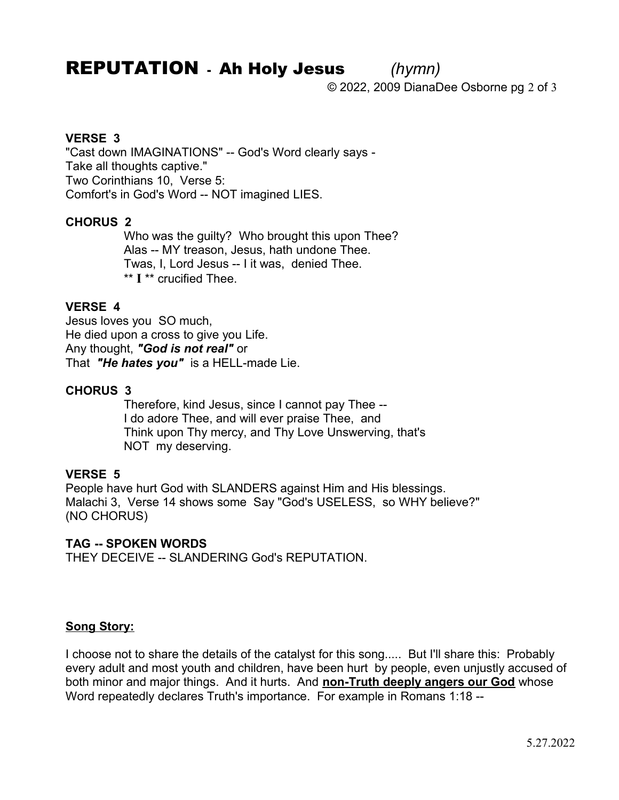# REPUTATION - Ah Holy Jesus *(hymn)*

© 2022, 2009 DianaDee Osborne pg 2 of 3

### **VERSE 3**

"Cast down IMAGINATIONS" -- God's Word clearly says - Take all thoughts captive." Two Corinthians 10, Verse 5: Comfort's in God's Word -- NOT imagined LIES.

#### **CHORUS 2**

Who was the guilty? Who brought this upon Thee? Alas -- MY treason, Jesus, hath undone Thee. Twas, I, Lord Jesus -- I it was, denied Thee. \*\* **I** \*\* crucified Thee.

### **VERSE 4**

Jesus loves you SO much, He died upon a cross to give you Life. Any thought, *"God is not real"* or That *"He hates you"* is a HELL-made Lie.

### **CHORUS 3**

Therefore, kind Jesus, since I cannot pay Thee -- I do adore Thee, and will ever praise Thee, and Think upon Thy mercy, and Thy Love Unswerving, that's NOT my deserving.

#### **VERSE 5**

People have hurt God with SLANDERS against Him and His blessings. Malachi 3, Verse 14 shows some Say "God's USELESS, so WHY believe?" (NO CHORUS)

#### **TAG -- SPOKEN WORDS**

THEY DECEIVE -- SLANDERING God's REPUTATION.

#### **Song Story:**

I choose not to share the details of the catalyst for this song..... But I'll share this: Probably every adult and most youth and children, have been hurt by people, even unjustly accused of both minor and major things. And it hurts. And **non-Truth deeply angers our God** whose Word repeatedly declares Truth's importance. For example in Romans 1:18 --